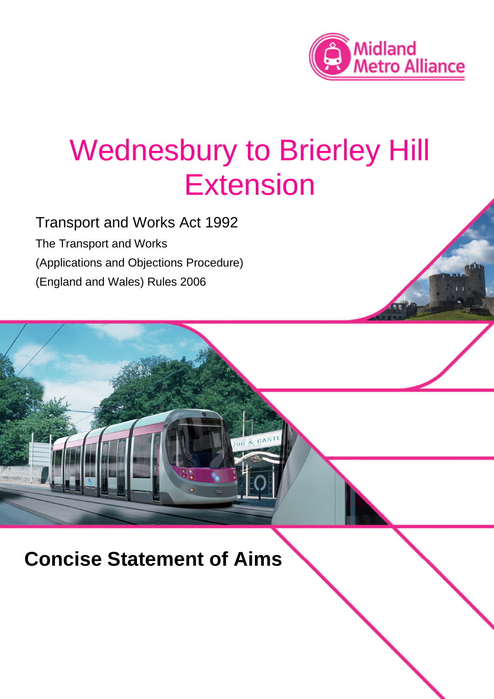

# Wednesbury to Brierley Hill Extension

Transport and Works Act 1992 The Transport and Works (Applications and Objections Procedure) (England and Wales) Rules 2006

**Concise Statement of Aims**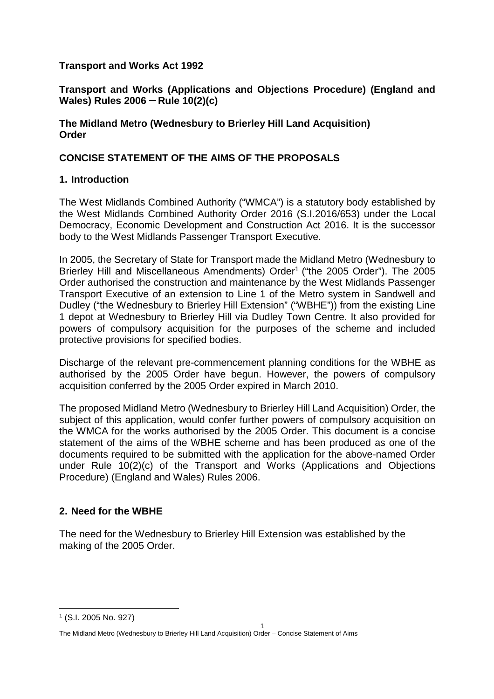#### **Transport and Works Act 1992**

#### **Transport and Works (Applications and Objections Procedure) (England and Wales) Rules 2006** — **Rule 10(2)(c)**

#### **The Midland Metro (Wednesbury to Brierley Hill Land Acquisition) Order**

#### **CONCISE STATEMENT OF THE AIMS OF THE PROPOSALS**

#### **1. Introduction**

The West Midlands Combined Authority ("WMCA") is a statutory body established by the West Midlands Combined Authority Order 2016 (S.I.2016/653) under the Local Democracy, Economic Development and Construction Act 2016. It is the successor body to the West Midlands Passenger Transport Executive.

In 2005, the Secretary of State for Transport made the Midland Metro (Wednesbury to Brierley Hill and Miscellaneous Amendments) Order<sup>1</sup> ("the 2005 Order"). The 2005 Order authorised the construction and maintenance by the West Midlands Passenger Transport Executive of an extension to Line 1 of the Metro system in Sandwell and Dudley ("the Wednesbury to Brierley Hill Extension" ("WBHE")) from the existing Line 1 depot at Wednesbury to Brierley Hill via Dudley Town Centre. It also provided for powers of compulsory acquisition for the purposes of the scheme and included protective provisions for specified bodies.

Discharge of the relevant pre-commencement planning conditions for the WBHE as authorised by the 2005 Order have begun. However, the powers of compulsory acquisition conferred by the 2005 Order expired in March 2010.

The proposed Midland Metro (Wednesbury to Brierley Hill Land Acquisition) Order, the subject of this application, would confer further powers of compulsory acquisition on the WMCA for the works authorised by the 2005 Order. This document is a concise statement of the aims of the WBHE scheme and has been produced as one of the documents required to be submitted with the application for the above-named Order under Rule 10(2)(c) of the Transport and Works (Applications and Objections Procedure) (England and Wales) Rules 2006.

# **2. Need for the WBHE**

The need for the Wednesbury to Brierley Hill Extension was established by the making of the 2005 Order.

<sup>1</sup> (S.I. 2005 No. 927)

<sup>1</sup> The Midland Metro (Wednesbury to Brierley Hill Land Acquisition) Order – Concise Statement of Aims